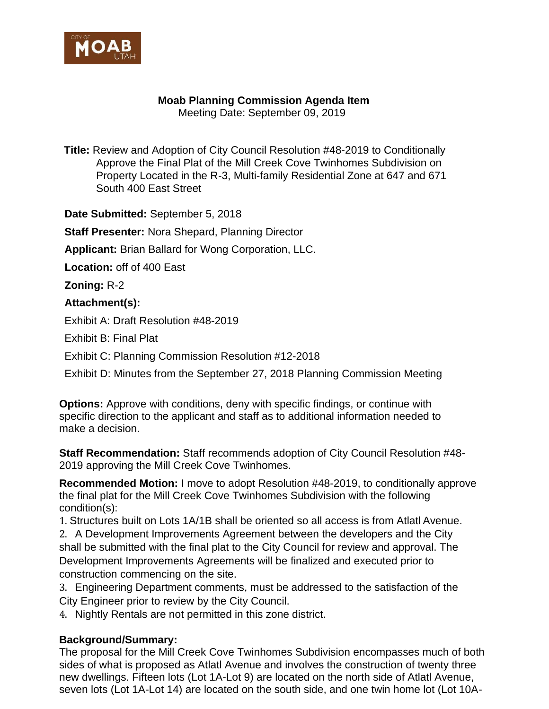

## **Moab Planning Commission Agenda Item**

Meeting Date: September 09, 2019

**Title:** Review and Adoption of City Council Resolution #48-2019 to Conditionally Approve the Final Plat of the Mill Creek Cove Twinhomes Subdivision on Property Located in the R-3, Multi-family Residential Zone at 647 and 671 South 400 East Street

**Date Submitted:** September 5, 2018

**Staff Presenter:** Nora Shepard, Planning Director

**Applicant:** Brian Ballard for Wong Corporation, LLC.

**Location:** off of 400 East

**Zoning:** R-2

## **Attachment(s):**

Exhibit A: Draft Resolution #48-2019

Exhibit B: Final Plat

Exhibit C: Planning Commission Resolution #12-2018

Exhibit D: Minutes from the September 27, 2018 Planning Commission Meeting

**Options:** Approve with conditions, deny with specific findings, or continue with specific direction to the applicant and staff as to additional information needed to make a decision.

**Staff Recommendation:** Staff recommends adoption of City Council Resolution #48- 2019 approving the Mill Creek Cove Twinhomes.

**Recommended Motion:** I move to adopt Resolution #48-2019, to conditionally approve the final plat for the Mill Creek Cove Twinhomes Subdivision with the following condition(s):

1. Structures built on Lots 1A/1B shall be oriented so all access is from Atlatl Avenue.

2. A Development Improvements Agreement between the developers and the City shall be submitted with the final plat to the City Council for review and approval. The Development Improvements Agreements will be finalized and executed prior to construction commencing on the site.

3. Engineering Department comments, must be addressed to the satisfaction of the City Engineer prior to review by the City Council.

4. Nightly Rentals are not permitted in this zone district.

## **Background/Summary:**

The proposal for the Mill Creek Cove Twinhomes Subdivision encompasses much of both sides of what is proposed as Atlatl Avenue and involves the construction of twenty three new dwellings. Fifteen lots (Lot 1A-Lot 9) are located on the north side of Atlatl Avenue, seven lots (Lot 1A-Lot 14) are located on the south side, and one twin home lot (Lot 10A-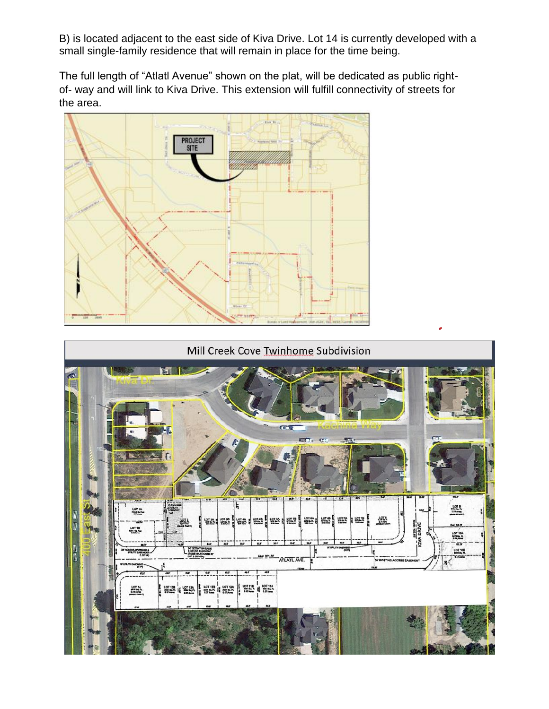B) is located adjacent to the east side of Kiva Drive. Lot 14 is currently developed with a small single-family residence that will remain in place for the time being.

The full length of "Atlatl Avenue" shown on the plat, will be dedicated as public rightof- way and will link to Kiva Drive. This extension will fulfill connectivity of streets for the area.



## Mill Creek Cove Twinhome Subdivision